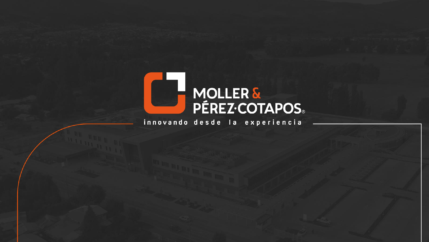

innovando desde la experiencia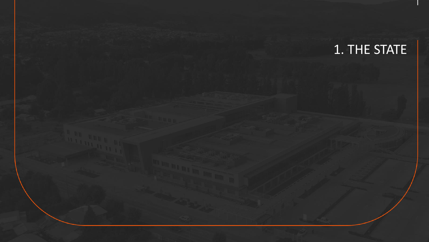1. THE STATE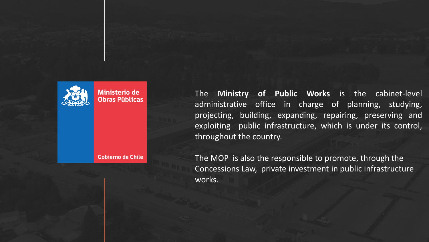

**Gobierno de Chile** 

The **Ministry of Public Works** is the cabinet-level administrative office in charge of planning, studying, projecting, building, expanding, repairing, preserving and exploiting public infrastructure, which is under its control, throughout the country.

The MOP is also the responsible to promote, through the Concessions Law, private investment in public infrastructure works.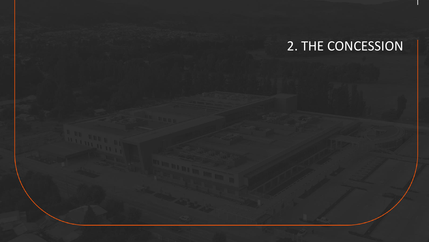# 2. THE CONCESSION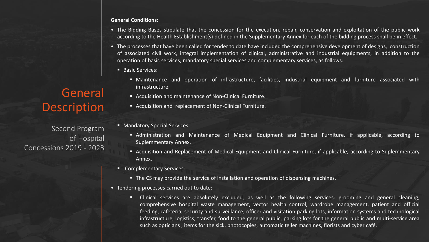#### **General Conditions:**

- The Bidding Bases stipulate that the concession for the execution, repair, conservation and exploitation of the public work according to the Health Establishment(s) defined in the Supplementary Annex for each of the bidding process shall be in effect.
- The processes that have been called for tender to date have included the comprehensive development of designs, construction of associated civil work, integral implementation of clinical, administrative and industrial equipments, in addition to the operation of basic services, mandatory special services and complementary services, as follows:
	- Basic Services:
		- Maintenance and operation of infrastructure, facilities, industrial equipment and furniture associated with infrastructure.
		- Acquisition and maintenance of Non-Clinical Furniture.
		- Acquisition and replacement of Non-Clinical Furniture.
	- Mandatory Special Services
		- Administration and Maintenance of Medical Equipment and Clinical Furniture, if applicable, according to Suplemmentary Annex.
		- Acquisition and Replacement of Medical Equipment and Clinical Furniture, if applicable, according to Suplemmentary Annex.
	- Complementary Services:
		- The CS may provide the service of installation and operation of dispensing machines.
- Tendering processes carried out to date:
	- Clinical services are absolutely excluded, as well as the following services: grooming and general cleaning, comprehensive hospital waste management, vector health control, wardrobe management, patient and official feeding, cafeteria, security and surveillance, officer and visitation parking lots, information systems and technological infrastructure, logistics, transfer, food to the general public, parking lots for the general public and multi-service area such as opticians , items for the sick, photocopies, automatic teller machines, florists and cyber café.

## **General** Description

Second Program of Hospital Concessions 2019 - 2023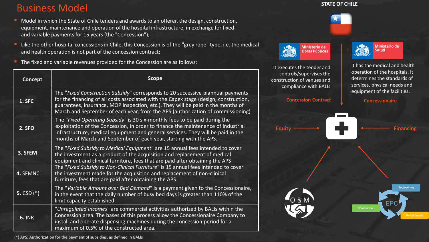### Business Model

- Model in which the State of Chile tenders and awards to an offerer, the design, construction, equipment, maintenance and operation of the hospital infrastructure, in exchange for fixed and variable payments for 15 years (the "Concession");
- Like the other hospital concessions in Chile, this Concession is of the "grey robe" type, i.e. the medical and health operation is not part of the concession contract;
- The fixed and variable revenues provided for the Concession are as follows:

| Concept       | <b>Scope</b>                                                                                                                                                                                                                                                                                                                                     |
|---------------|--------------------------------------------------------------------------------------------------------------------------------------------------------------------------------------------------------------------------------------------------------------------------------------------------------------------------------------------------|
| 1. SFC        | The "Fixed Construction Subsidy" corresponds to 20 successive biannual payments<br>for the financing of all costs associated with the Capex stage (design, construction,<br>guarantees, insurance, MOP inspection, etc.). They will be paid in the months of<br>March and September of each year, from the APS (authorization of commissioning). |
| <b>2. SFO</b> | The "Fixed Operating Subsidy" is 30 six-monthly fees to be paid during the<br>exploitation of the Concession, in order to finance the maintenance of industrial<br>infrastructure, medical equipment and general services. They will be paid in the<br>months of March and September of each year, starting with the APS.                        |
| 3. SFEM       | The "Fixed Subsidy to Medical Equipment" are 15 annual fees intended to cover<br>the investment as a product of the acquisition and replacement of medical<br>equipment and clinical furniture, fees that are paid after obtaining the APS                                                                                                       |
| 4. SFMNC      | The "Fixed Subsidy to Non-Clinical Furniture" is 15 annual fees intended to cover<br>the investment made for the acquisition and replacement of non-clinical<br>furniture, fees that are paid after obtaining the APS.                                                                                                                           |
| 5. $CSD (*)$  | The "Variable Amount over Bed Demand" is a payment given to the Concessionaire,<br>in the event that the daily number of busy bed days is greater than 110% of the<br>limit capacity established.                                                                                                                                                |
| <b>6. INR</b> | "Unregulated Incomes" are commercial activities authorized by BALIs within the<br>Concession area. The bases of this process allow the Concessionaire Company to<br>install and operate dispensing machines during the concession period for a<br>maximum of 0.5% of the constructed area.                                                       |

#### **STATE OF CHILE**



It executes the tender and controls/supervises the construction of venues and compliance with BALIs

 $2720$ 

**Ministerio de** 

**Obras Públicas** 



It has the medical and health operation of the hospitals. It determines the standards of services, physical needs and equipment of the facilities.



(\*) APS: Authorization for the payment of subsidies, as defined in BALIs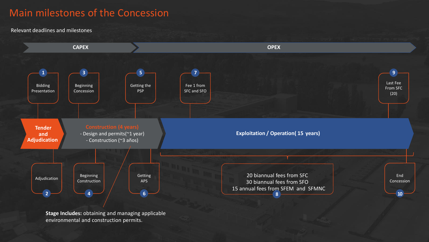### Main milestones of the Concession

Relevant deadlines and milestones



**Stage Includes:** obtaining and managing applicable environmental and construction permits.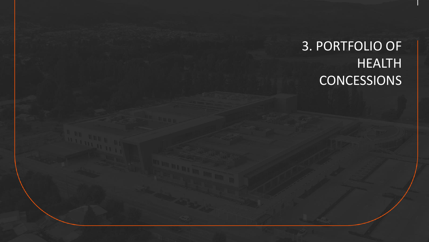# 3. PORTFOLIO OF HEALTH **CONCESSIONS**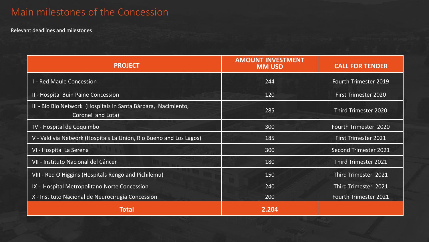## Main milestones of the Concession

Relevant deadlines and milestones

| <b>PROJECT</b>                                                                      | <b>AMOUNT INVESTMENT</b><br><b>MM USD</b> | <b>CALL FOR TENDER</b>       |  |  |
|-------------------------------------------------------------------------------------|-------------------------------------------|------------------------------|--|--|
| <b>I - Red Maule Concession</b>                                                     | 244                                       | <b>Fourth Trimester 2019</b> |  |  |
| II - Hospital Buin Paine Concession                                                 | 120                                       | <b>First Trimester 2020</b>  |  |  |
| III - Bio Bío Network (Hospitals in Santa Bárbara, Nacimiento,<br>Coronel and Lota) | 285                                       | Third Trimester 2020         |  |  |
| IV - Hospital de Coquimbo                                                           | 300                                       | Fourth Trimester 2020        |  |  |
| V - Valdivia Network (Hospitals La Unión, Rio Bueno and Los Lagos)                  | 185                                       | <b>First Trimester 2021</b>  |  |  |
| VI - Hospital La Serena                                                             | 300                                       | Second Trimester 2021        |  |  |
| VII - Instituto Nacional del Cáncer                                                 | 180                                       | Third Trimester 2021         |  |  |
| VIII - Red O'Higgins (Hospitals Rengo and Pichilemu)                                | 150                                       | Third Trimester 2021         |  |  |
| IX - Hospital Metropolitano Norte Concession                                        | 240                                       | Third Trimester 2021         |  |  |
| X - Instituto Nacional de Neurocirugía Concession                                   | 200                                       | Fourth Trimester 2021        |  |  |
| <b>Total</b>                                                                        | 2.204                                     |                              |  |  |